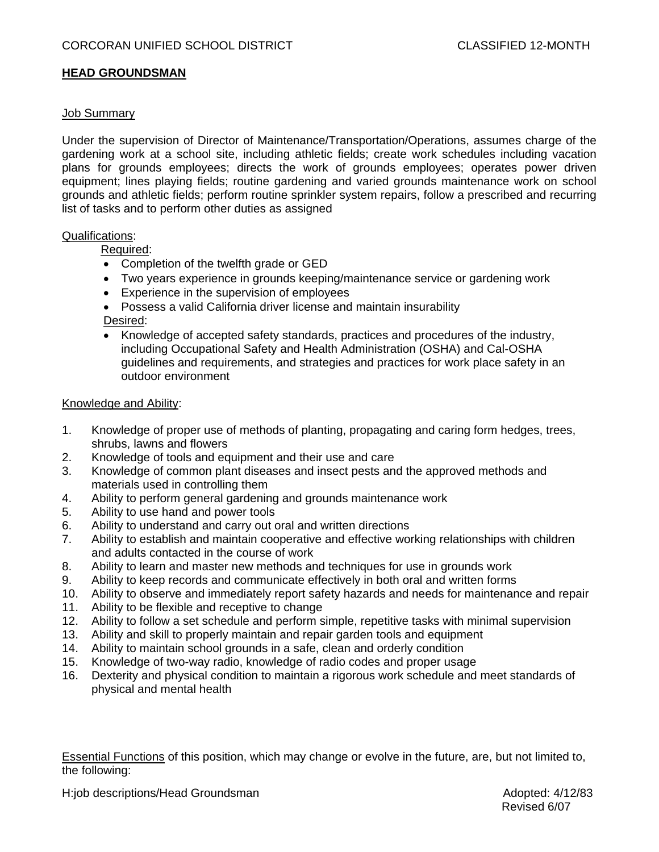## **HEAD GROUNDSMAN**

#### Job Summary

Under the supervision of Director of Maintenance/Transportation/Operations, assumes charge of the gardening work at a school site, including athletic fields; create work schedules including vacation plans for grounds employees; directs the work of grounds employees; operates power driven equipment; lines playing fields; routine gardening and varied grounds maintenance work on school grounds and athletic fields; perform routine sprinkler system repairs, follow a prescribed and recurring list of tasks and to perform other duties as assigned

#### Qualifications:

Required:

- Completion of the twelfth grade or GED
- Two years experience in grounds keeping/maintenance service or gardening work
- Experience in the supervision of employees
- Possess a valid California driver license and maintain insurability Desired:
- Knowledge of accepted safety standards, practices and procedures of the industry, including Occupational Safety and Health Administration (OSHA) and Cal-OSHA guidelines and requirements, and strategies and practices for work place safety in an outdoor environment

### Knowledge and Ability:

- 1. Knowledge of proper use of methods of planting, propagating and caring form hedges, trees, shrubs, lawns and flowers
- 2. Knowledge of tools and equipment and their use and care
- 3. Knowledge of common plant diseases and insect pests and the approved methods and materials used in controlling them
- 4. Ability to perform general gardening and grounds maintenance work
- 5. Ability to use hand and power tools
- 6. Ability to understand and carry out oral and written directions
- 7. Ability to establish and maintain cooperative and effective working relationships with children and adults contacted in the course of work
- 8. Ability to learn and master new methods and techniques for use in grounds work
- 9. Ability to keep records and communicate effectively in both oral and written forms
- 10. Ability to observe and immediately report safety hazards and needs for maintenance and repair
- 11. Ability to be flexible and receptive to change
- 12. Ability to follow a set schedule and perform simple, repetitive tasks with minimal supervision
- 13. Ability and skill to properly maintain and repair garden tools and equipment
- 14. Ability to maintain school grounds in a safe, clean and orderly condition
- 15. Knowledge of two-way radio, knowledge of radio codes and proper usage
- 16. Dexterity and physical condition to maintain a rigorous work schedule and meet standards of physical and mental health

Essential Functions of this position, which may change or evolve in the future, are, but not limited to, the following:

H:job descriptions/Head Groundsman Adopted: 4/12/83